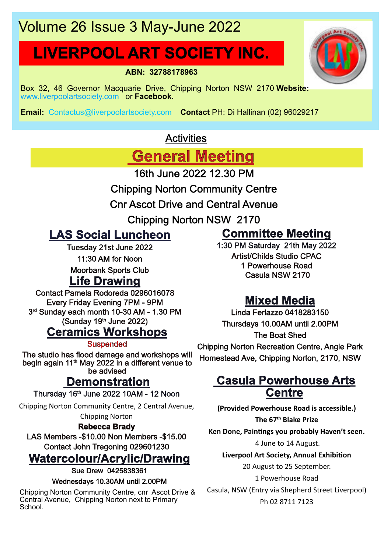# Volume 26 Issue 3 May-June 2022

# **LIVERPOOL ART SOCIETY INC.**

**ABN: 32788178963**

Box 32, 46 Governor Macquarie Drive, Chipping Norton NSW 2170 **Website:** www.liverpoolartsociety.com or **Facebook.**

**Email:** Contactus@liverpoolartsociety.com **Contact** PH: Di Hallinan (02) 96029217

## **Activities**

**General Meeting**

16th June 2022 12.30 PM

- Chipping Norton Community Centre
- Cnr Ascot Drive and Central Avenue
	- Chipping Norton NSW 2170

## **LAS Social Luncheon**

Casula NSW 2170 **Life Drawing** Tuesday 21st June 2022 11:30 AM for Noon Moorbank Sports Club

Contact Pamela Rodoreda 0296016078 Every Friday Evening 7PM - 9PM 3 rd Sunday each month 10-30 AM - 1.30 PM  $(Sunday 19<sup>th</sup> June 2022)$ 

## **Ceramics Workshops**

**Suspended** 

The studio has flood damage and workshops will begin again 11<sup>th</sup> May 2022 in a different venue to be advised

## **Demonstration**

Thursday 16th June 2022 10AM - 12 Noon

Chipping Norton Community Centre, 2 Central Avenue, Chipping Norton

#### **Rebecca Brady**

LAS Members -\$10.00 Non Members -\$15.00 Contact John Tregoning 029601230

## **Watercolour/Acrylic/Drawing**

Sue Drew 0425838361

#### Wednesdays 10.30AM until 2.00PM

Chipping Norton Community Centre, cnr Ascot Drive & Central Avenue, Chipping Norton next to Primary School.

## **Committee Meeting**

1:30 PM Saturday 21th May 2022 Artist/Childs Studio CPAC 1 Powerhouse Road

## **Mixed Media**

Linda Ferlazzo 0418283150 Thursdays 10.00AM until 2.00PM The Boat Shed Chipping Norton Recreation Centre, Angle Park

# Homestead Ave, Chipping Norton, 2170, NSW

## **Casula Powerhouse Arts Centre**

**(Provided Powerhouse Road is accessible.) The 67th Blake Prize**

Ken Done, Paintings you probably Haven't seen.

4 June to 14 August.

**Liverpool Art Society, Annual Exhibi�on**

20 August to 25 September.

1 Powerhouse Road

Casula, NSW (Entry via Shepherd Street Liverpool) Ph 02 8711 7123

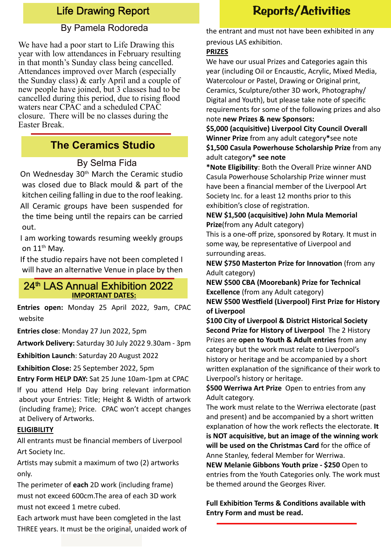### Life Drawing Report

#### By Pamela Rodoreda

We have had a poor start to Life Drawing this year with low attendances in February resulting in that month's Sunday class being cancelled. Attendances improved over March (especially the Sunday class) & early April and a couple of new people have joined, but 3 classes had to be cancelled during this period, due to rising flood waters near CPAC and a scheduled CPAC closure. There will be no classes during the Easter Break.

#### **The Ceramics Studio**

#### By Selma Fida

On Wednesday 30th March the Ceramic studio was closed due to Black mould & part of the kitchen ceiling falling in due to the roof leaking.

All Ceramic groups have been suspended for the time being until the repairs can be carried out.

I am working towards resuming weekly groups on 11<sup>th</sup> Mav.

If the studio repairs have not been completed I will have an alternative Venue in place by then

#### **IMPORTANT DATES:** 24<sup>th</sup> LAS Annual Exhibition 2022

**Entries open:** Monday 25 April 2022, 9am, CPAC website

**Entries close**: Monday 27 Jun 2022, 5pm

**Artwork Delivery:** Saturday 30 July 2022 9.30am - 3pm

**Exhibition Launch: Saturday 20 August 2022** 

**Exhibi�on Close:** 25 September 2022, 5pm

**Entry Form HELP DAY:** Sat 25 June 10am-1pm at CPAC If you attend Help Day bring relevant information about your Entries: Title; Height & Width of artwork (including frame); Price. CPAC won't accept changes at Delivery of Artworks.

#### **ELIGIBILITY**

All entrants must be financial members of Liverpool Art Society Inc.

Artists may submit a maximum of two (2) artworks only.

The perimeter of **each** 2D work (including frame) must not exceed 600cm.The area of each 3D work must not exceed 1 metre cubed.

Each artwork must have been completed in the last THREE years. It must be the original, unaided work of

## Reports/Activities

the entrant and must not have been exhibited in any previous LAS exhibition.

#### **PRIZES**

We have our usual Prizes and Categories again this year (including Oil or Encaustic, Acrylic, Mixed Media, Watercolour or Pastel, Drawing or Original print, Ceramics, Sculpture/other 3D work, Photography/ Digital and Youth), but please take note of specific requirements for some of the following prizes and also note **new Prizes & new Sponsors:**

\$5,000 (acquisitive) Liverpool City Council Overall **Winner Prize** from any adult category**\***see note **\$1,500 Casula Powerhouse Scholarship Prize** from any adult category**\* see note**

**\*Note Eligibility**: Both the Overall Prize winner AND Casula Powerhouse Scholarship Prize winner must have been a financial member of the Liverpool Art Society Inc. for a least 12 months prior to this exhibition's close of registration.

#### **NEW \$1,500 (acquisi�ve) John Mula Memorial Prize**(from any Adult category)

This is a one-off prize, sponsored by Rotary. It must in some way, be representative of Liverpool and surrounding areas.

**NEW \$750 Masterton Prize for Innovation** (from any Adult category)

**NEW \$500 CBA (Moorebank) Prize for Technical Excellence** (from any Adult category)

**NEW \$500 Wes�ield (Liverpool) First Prize for History of Liverpool**

**\$100 City of Liverpool & District Historical Society Second Prize for History of Liverpool** The 2 History Prizes are **open to Youth & Adult entries** from any category but the work must relate to Liverpool's history or heritage and be accompanied by a short written explanation of the significance of their work to Liverpool's history or heritage.

**\$500 Werriwa Art Prize** Open to entries from any Adult category.

The work must relate to the Werriwa electorate (past and present) and be accompanied by a short written explanation of how the work reflects the electorate. It **is NOT acquisi�ve, but an image of the winning work will be used on the Christmas Card** for the office of Anne Stanley, federal Member for Werriwa.

**NEW Melanie Gibbons Youth prize - \$250** Open to entries from the Youth Categories only. The work must be themed around the Georges River.

**Full Exhibition Terms & Conditions available with Entry Form and must be read.**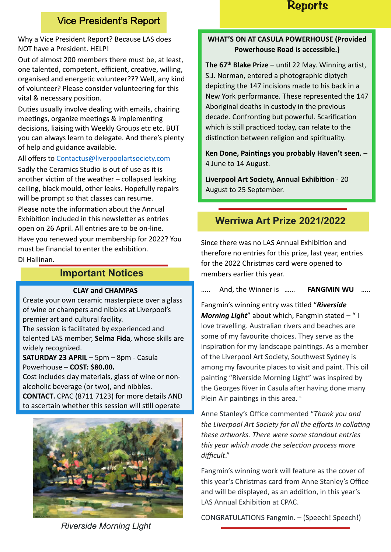## **Reports**

#### Vice President's Report

Why a Vice President Report? Because LAS does NOT have a President. HELP!

Out of almost 200 members there must be, at least, one talented, competent, efficient, creative, willing, organised and energetic volunteer??? Well, any kind of volunteer? Please consider volunteering for this vital & necessary position.

Duties usually involve dealing with emails, chairing meetings, organize meetings & implementing decisions, liaising with Weekly Groups etc etc. BUT you can always learn to delegate. And there's plenty of help and guidance available.

All offers to Contactus@liverpoolartsociety.com

Sadly the Ceramics Studio is out of use as it is another victim of the weather – collapsed leaking ceiling, black mould, other leaks. Hopefully repairs will be prompt so that classes can resume.

Please note the information about the Annual Exhibition included in this newsletter as entries open on 26 April. All entries are to be on-line. Have you renewed your membership for 2022? You must be financial to enter the exhibition

Di Hallinan.

#### **Important Notices**

#### **CLAY and CHAMPAS**

Create your own ceramic masterpiece over a glass of wine or champers and nibbles at Liverpool's premier art and cultural facility.

The session is facilitated by experienced and talented LAS member, **Selma Fida**, whose skills are widely recognized.

**SATURDAY 23 APRIL** – 5pm – 8pm - Casula Powerhouse – **COST: \$80.00.**

Cost includes clay materials, glass of wine or nonalcoholic beverage (or two), and nibbles.

**CONTACT:** CPAC (8711 7123) for more details AND to ascertain whether this session will still operate



#### **WHAT'S ON AT CASULA POWERHOUSE (Provided Powerhouse Road is accessible.)**

The 67<sup>th</sup> Blake Prize – until 22 May. Winning artist, S.J. Norman, entered a photographic diptych depicting the 147 incisions made to his back in a New York performance. These represented the 147 Aboriginal deaths in custody in the previous decade. Confronting but powerful. Scarification which is still practiced today, can relate to the distinction between religion and spirituality.

Ken Done, Paintings you probably Haven't seen. -4 June to 14 August.

**Liverpool Art Society, Annual Exhibition - 20** August to 25 September.

## **Werriwa Art Prize 2021/2022**

Since there was no LAS Annual Exhibition and therefore no entries for this prize, last year, entries for the 2022 Christmas card were opened to members earlier this year.

….. And, the Winner is …… **FANGMIN WU** …..

Fangmin's winning entry was titled "Riverside" *Morning Light*" about which, Fangmin stated – " I love travelling. Australian rivers and beaches are some of my favourite choices. They serve as the inspiration for my landscape paintings. As a member of the Liverpool Art Society, Southwest Sydney is among my favourite places to visit and paint. This oil painting "Riverside Morning Light" was inspired by the Georges River in Casula after having done many Plein Air paintings in this area. "

Anne Stanley's Office commented "*Thank you and* the Liverpool Art Society for all the efforts in collating *these artworks. There were some standout entries this year which made the selec�on process more difficult*."

Fangmin's winning work will feature as the cover of this year's Christmas card from Anne Stanley's Office and will be displayed, as an addition, in this year's LAS Annual Exhibition at CPAC.

CONGRATULATIONS Fangmin. – (Speech! Speech!)

*Riverside Morning Light*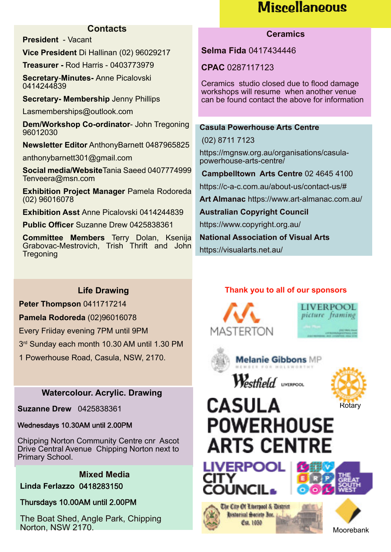# **Miscellaneous**

#### **Contacts**

**President** - Vacant

**Vice President** Di Hallinan (02) 96029217

**Treasurer -** Rod Harris - 0403773979

**Secretary**-**Minutes-** Anne Picalovski 0414244839

**Secretary- Membership** Jenny Phillips

Lasmemberships@outlook.com

**Dem/Workshop Co-ordinator**- John Tregoning 96012030

**Newsletter Editor** AnthonyBarnett 0487965825

anthonybarnett301@gmail.com

**Social media/Website**Tania Saeed 0407774999 Tenveera@msn.com

**Exhibition Project Manager** Pamela Rodoreda (02) 96016078

**Exhibition Asst** Anne Picalovski 0414244839

**Public Officer** Suzanne Drew 0425838361

**Committee Members** Terry Dolan, Ksenija Grabovac-Mestrovich, Trish Thrift and John **Tregoning** 

#### **Ceramics**

**Selma Fida** 0417434446

**CPAC** 0287117123

Ceramics studio closed due to flood damage workshops will resume when another venue can be found contact the above for information

#### **Casula Powerhouse Arts Centre**

(02) 8711 7123

https://mgnsw.org.au/organisations/casulapowerhouse-arts-centre/

**Campbelltown Arts Centre** 02 4645 4100

https://c-a-c.com.au/about-us/contact-us/#

**Art Almanac** https://www.art-almanac.com.au/

**Australian Copyright Council**

https://www.copyright.org.au/

**National Association of Visual Arts**

https://visualarts.net.au/

#### **Life Drawing**

**Peter Thompson** 0411717214

**Pamela Rodoreda** (02)96016078

Every Friiday evening 7PM until 9PM

3 rd Sunday each month 10.30 AM until 1.30 PM

1 Powerhouse Road, Casula, NSW, 2170.

#### **Watercolour. Acrylic. Drawing**

**Suzanne Drew** 0425838361

#### Wednesdays 10.30AM until 2.00PM

Chipping Norton Community Centre cnr Ascot Drive Central Avenue Chipping Norton next to Primary School.

**Mixed Media Linda Ferlazzo** 0418283150

Thursdays 10.00AM until 2.00PM

The Boat Shed, Angle Park, Chipping Norton, NSW 2170.

#### **Thank you to all of our sponsors**







**Melanie Gibbons MP** Westfield uvERPOOL



# **CASULA POWERHOUSE ARTS CENTRE**